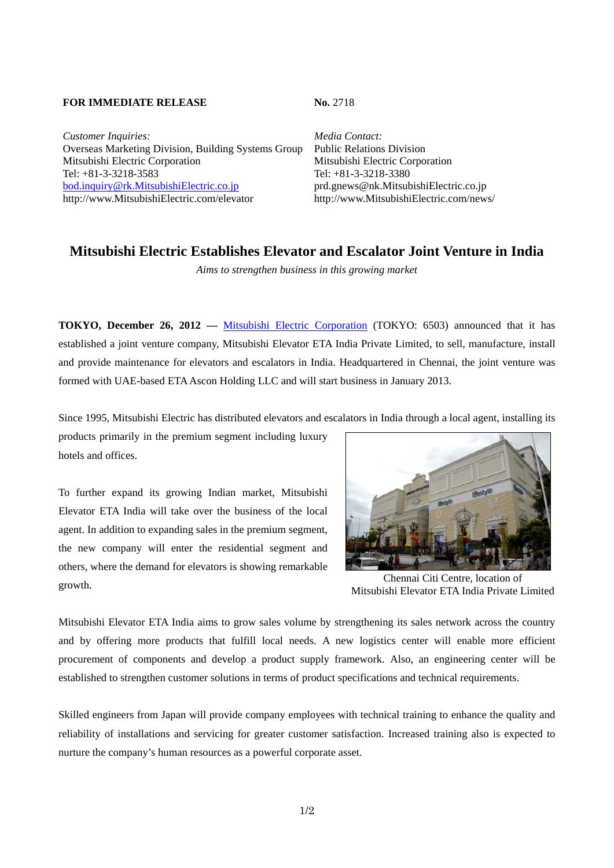### **FOR IMMEDIATE RELEASE No. 2718**

*Customer Inquiries: Media Contact:* Overseas Marketing Division, Building Systems Group Public Relations Division Mitsubishi Electric Corporation Mitsubishi Electric Corporation Tel: +81-3-3218-3583<br>
bod.inguiry@rk.MitsubishiElectric.co.jp<br>
prd.gnews@nk.MitsubishiElectric.co.jp<br>
prd.gnews@nk.MitsubishiElectric.co.jp bod.inquiry@rk.MitsubishiElectric.co.jp http://www.MitsubishiElectric.com/elevator http://www.MitsubishiElectric.com/news/

# **Mitsubishi Electric Establishes Elevator and Escalator Joint Venture in India**

*Aims to strengthen business in this growing market*

**TOKYO, December 26, 2012 — Mitsubishi Electric Corporation (TOKYO: 6503) announced that it has** established a joint venture company, Mitsubishi Elevator ETA India Private Limited, to sell, manufacture, install and provide maintenance for elevators and escalators in India. Headquartered in Chennai, the joint venture was formed with UAE-based ETA Ascon Holding LLC and will start business in January 2013.

Since 1995, Mitsubishi Electric has distributed elevators and escalators in India through a local agent, installing its

products primarily in the premium segment including luxury hotels and offices.

To further expand its growing Indian market, Mitsubishi Elevator ETA India will take over the business of the local agent. In addition to expanding sales in the premium segment, the new company will enter the residential segment and others, where the demand for elevators is showing remarkable growth.



Chennai Citi Centre, location of Mitsubishi Elevator ETA India Private Limited

Mitsubishi Elevator ETA India aims to grow sales volume by strengthening its sales network across the country and by offering more products that fulfill local needs. A new logistics center will enable more efficient procurement of components and develop a product supply framework. Also, an engineering center will be established to strengthen customer solutions in terms of product specifications and technical requirements.

Skilled engineers from Japan will provide company employees with technical training to enhance the quality and reliability of installations and servicing for greater customer satisfaction. Increased training also is expected to nurture the company's human resources as a powerful corporate asset.